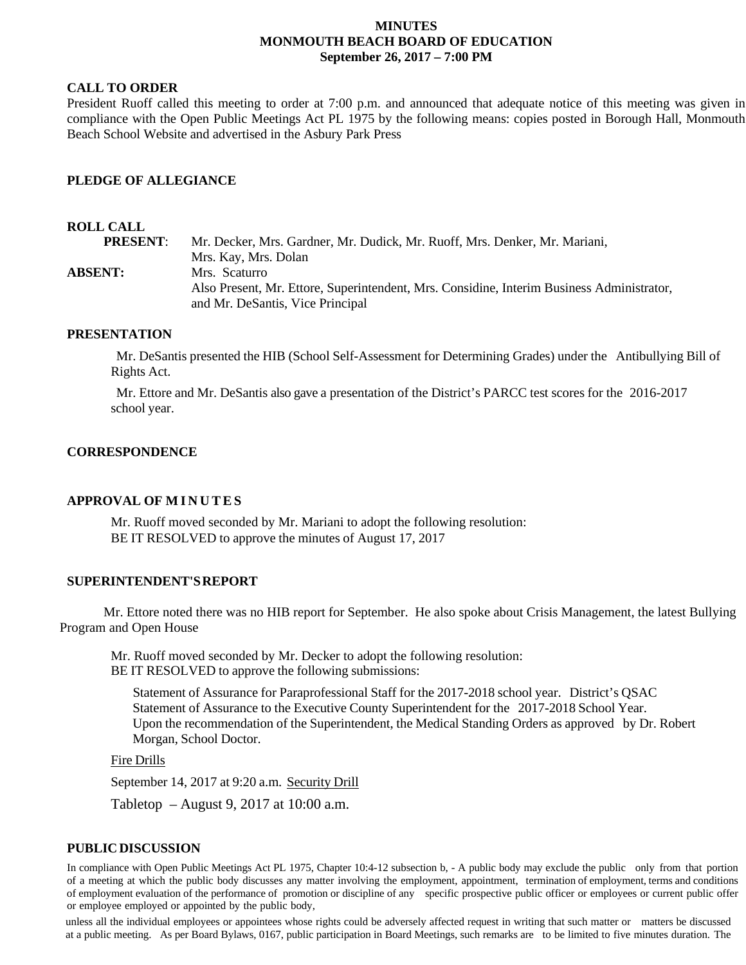## **MINUTES MONMOUTH BEACH BOARD OF EDUCATION September 26, 2017 – 7:00 PM**

## **CALL TO ORDER**

President Ruoff called this meeting to order at 7:00 p.m. and announced that adequate notice of this meeting was given in compliance with the Open Public Meetings Act PL 1975 by the following means: copies posted in Borough Hall, Monmouth Beach School Website and advertised in the Asbury Park Press

## **PLEDGE OF ALLEGIANCE**

### **ROLL CALL**

**PRESENT**: Mr. Decker, Mrs. Gardner, Mr. Dudick, Mr. Ruoff, Mrs. Denker, Mr. Mariani, Mrs. Kay, Mrs. Dolan **ABSENT:** Mrs. Scaturro Also Present, Mr. Ettore, Superintendent, Mrs. Considine, Interim Business Administrator, and Mr. DeSantis, Vice Principal

### **PRESENTATION**

Mr. DeSantis presented the HIB (School Self-Assessment for Determining Grades) under the Antibullying Bill of Rights Act.

Mr. Ettore and Mr. DeSantis also gave a presentation of the District's PARCC test scores for the 2016-2017 school year.

### **CORRESPONDENCE**

### **APPROVAL OF MINUTES**

Mr. Ruoff moved seconded by Mr. Mariani to adopt the following resolution: BE IT RESOLVED to approve the minutes of August 17, 2017

### **SUPERINTENDENT'SREPORT**

Mr. Ettore noted there was no HIB report for September. He also spoke about Crisis Management, the latest Bullying Program and Open House

Mr. Ruoff moved seconded by Mr. Decker to adopt the following resolution: BE IT RESOLVED to approve the following submissions:

Statement of Assurance for Paraprofessional Staff for the 2017-2018 school year. District's QSAC Statement of Assurance to the Executive County Superintendent for the 2017-2018 School Year. Upon the recommendation of the Superintendent, the Medical Standing Orders as approved by Dr. Robert Morgan, School Doctor.

Fire Drills

September 14, 2017 at 9:20 a.m. Security Drill

Tabletop – August 9, 2017 at 10:00 a.m.

### **PUBLICDISCUSSION**

In compliance with Open Public Meetings Act PL 1975, Chapter 10:4-12 subsection b, - A public body may exclude the public only from that portion of a meeting at which the public body discusses any matter involving the employment, appointment, termination of employment, terms and conditions of employment evaluation of the performance of promotion or discipline of any specific prospective public officer or employees or current public offer or employee employed or appointed by the public body,

unless all the individual employees or appointees whose rights could be adversely affected request in writing that such matter or matters be discussed at a public meeting. As per Board Bylaws, 0167, public participation in Board Meetings, such remarks are to be limited to five minutes duration. The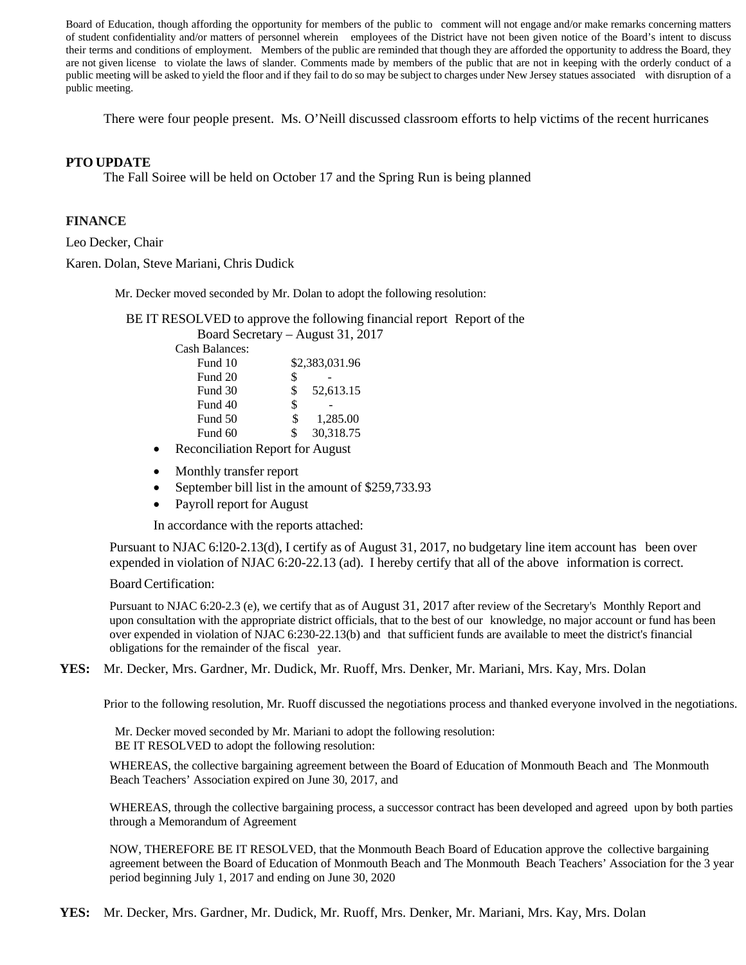Board of Education, though affording the opportunity for members of the public to comment will not engage and/or make remarks concerning matters of student confidentiality and/or matters of personnel wherein employees of the District have not been given notice of the Board's intent to discuss their terms and conditions of employment. Members of the public are reminded that though they are afforded the opportunity to address the Board, they are not given license to violate the laws of slander. Comments made by members of the public that are not in keeping with the orderly conduct of a public meeting will be asked to yield the floor and if they fail to do so may be subject to charges under New Jersey statues associated with disruption of a public meeting.

There were four people present. Ms. O'Neill discussed classroom efforts to help victims of the recent hurricanes

### **PTO UPDATE**

The Fall Soiree will be held on October 17 and the Spring Run is being planned

### **FINANCE**

Leo Decker, Chair

Karen. Dolan, Steve Mariani, Chris Dudick

Mr. Decker moved seconded by Mr. Dolan to adopt the following resolution:

BE IT RESOLVED to approve the following financial report Report of the Board Secretary – August 31, 2017

|  | Cash Balances: |
|--|----------------|
|--|----------------|

| Fund 10 |    | \$2,383,031.96 |  |  |
|---------|----|----------------|--|--|
| Fund 20 | \$ |                |  |  |
| Fund 30 | \$ | 52,613.15      |  |  |
| Fund 40 | \$ |                |  |  |
| Fund 50 | S  | 1,285.00       |  |  |
| Fund 60 | \$ | 30,318.75      |  |  |

- Reconciliation Report for August
- Monthly transfer report
- September bill list in the amount of \$259,733.93
- Payroll report for August

In accordance with the reports attached:

Pursuant to NJAC 6:l20-2.13(d), I certify as of August 31, 2017, no budgetary line item account has been over expended in violation of NJAC 6:20-22.13 (ad). I hereby certify that all of the above information is correct.

### Board Certification:

Pursuant to NJAC 6:20-2.3 (e), we certify that as of August 31, 2017 after review of the Secretary's Monthly Report and upon consultation with the appropriate district officials, that to the best of our knowledge, no major account or fund has been over expended in violation of NJAC 6:230-22.13(b) and that sufficient funds are available to meet the district's financial obligations for the remainder of the fiscal year.

**YES:** Mr. Decker, Mrs. Gardner, Mr. Dudick, Mr. Ruoff, Mrs. Denker, Mr. Mariani, Mrs. Kay, Mrs. Dolan

Prior to the following resolution, Mr. Ruoff discussed the negotiations process and thanked everyone involved in the negotiations.

Mr. Decker moved seconded by Mr. Mariani to adopt the following resolution: BE IT RESOLVED to adopt the following resolution:

WHEREAS, the collective bargaining agreement between the Board of Education of Monmouth Beach and The Monmouth Beach Teachers' Association expired on June 30, 2017, and

WHEREAS, through the collective bargaining process, a successor contract has been developed and agreed upon by both parties through a Memorandum of Agreement

NOW, THEREFORE BE IT RESOLVED, that the Monmouth Beach Board of Education approve the collective bargaining agreement between the Board of Education of Monmouth Beach and The Monmouth Beach Teachers' Association for the 3 year period beginning July 1, 2017 and ending on June 30, 2020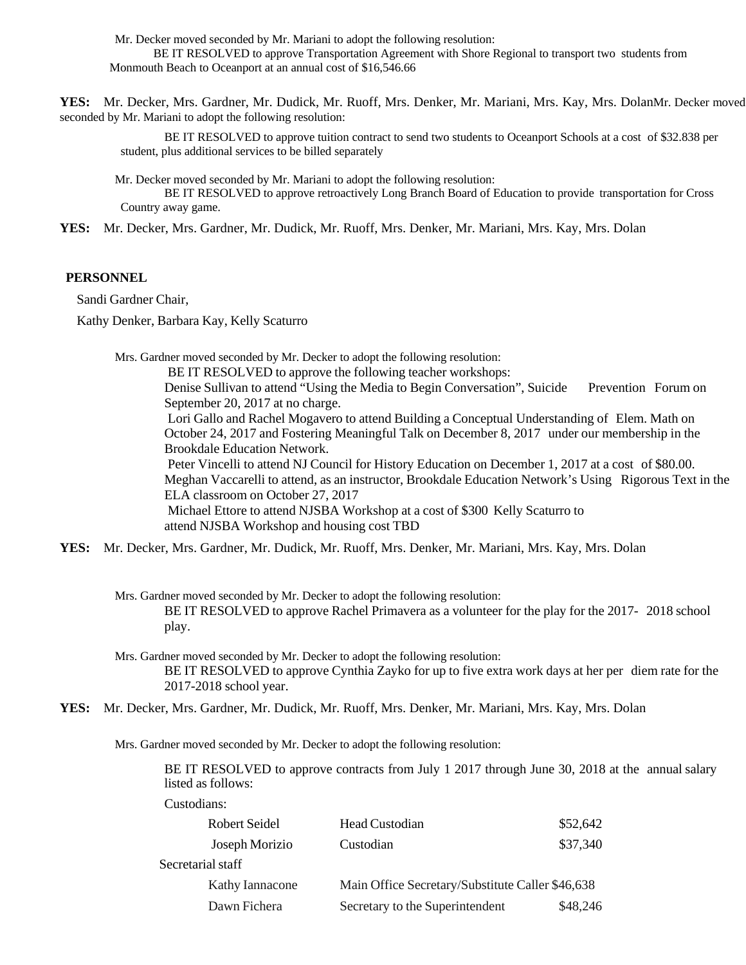Mr. Decker moved seconded by Mr. Mariani to adopt the following resolution:

BE IT RESOLVED to approve Transportation Agreement with Shore Regional to transport two students from Monmouth Beach to Oceanport at an annual cost of \$16,546.66

**YES:** Mr. Decker, Mrs. Gardner, Mr. Dudick, Mr. Ruoff, Mrs. Denker, Mr. Mariani, Mrs. Kay, Mrs. DolanMr. Decker moved seconded by Mr. Mariani to adopt the following resolution:

BE IT RESOLVED to approve tuition contract to send two students to Oceanport Schools at a cost of \$32.838 per student, plus additional services to be billed separately

Mr. Decker moved seconded by Mr. Mariani to adopt the following resolution:

BE IT RESOLVED to approve retroactively Long Branch Board of Education to provide transportation for Cross Country away game.

**YES:** Mr. Decker, Mrs. Gardner, Mr. Dudick, Mr. Ruoff, Mrs. Denker, Mr. Mariani, Mrs. Kay, Mrs. Dolan

#### **PERSONNEL**

Sandi Gardner Chair,

Kathy Denker, Barbara Kay, Kelly Scaturro

Mrs. Gardner moved seconded by Mr. Decker to adopt the following resolution:

BE IT RESOLVED to approve the following teacher workshops:

Denise Sullivan to attend "Using the Media to Begin Conversation", Suicide Prevention Forum on September 20, 2017 at no charge.

Lori Gallo and Rachel Mogavero to attend Building a Conceptual Understanding of Elem. Math on October 24, 2017 and Fostering Meaningful Talk on December 8, 2017 under our membership in the Brookdale Education Network.

Peter Vincelli to attend NJ Council for History Education on December 1, 2017 at a cost of \$80.00. Meghan Vaccarelli to attend, as an instructor, Brookdale Education Network's Using Rigorous Text in the ELA classroom on October 27, 2017

Michael Ettore to attend NJSBA Workshop at a cost of \$300 Kelly Scaturro to attend NJSBA Workshop and housing cost TBD

**YES:** Mr. Decker, Mrs. Gardner, Mr. Dudick, Mr. Ruoff, Mrs. Denker, Mr. Mariani, Mrs. Kay, Mrs. Dolan

Mrs. Gardner moved seconded by Mr. Decker to adopt the following resolution: BE IT RESOLVED to approve Rachel Primavera as a volunteer for the play for the 2017- 2018 school play.

Mrs. Gardner moved seconded by Mr. Decker to adopt the following resolution: BE IT RESOLVED to approve Cynthia Zayko for up to five extra work days at her per diem rate for the 2017-2018 school year.

**YES:** Mr. Decker, Mrs. Gardner, Mr. Dudick, Mr. Ruoff, Mrs. Denker, Mr. Mariani, Mrs. Kay, Mrs. Dolan

Mrs. Gardner moved seconded by Mr. Decker to adopt the following resolution:

BE IT RESOLVED to approve contracts from July 1 2017 through June 30, 2018 at the annual salary listed as follows:

Custodians:

| Robert Seidel     | Head Custodian                                   | \$52,642 |
|-------------------|--------------------------------------------------|----------|
| Joseph Morizio    | Custodian                                        | \$37,340 |
| Secretarial staff |                                                  |          |
| Kathy Iannacone   | Main Office Secretary/Substitute Caller \$46,638 |          |
| Dawn Fichera      | Secretary to the Superintendent                  | \$48,246 |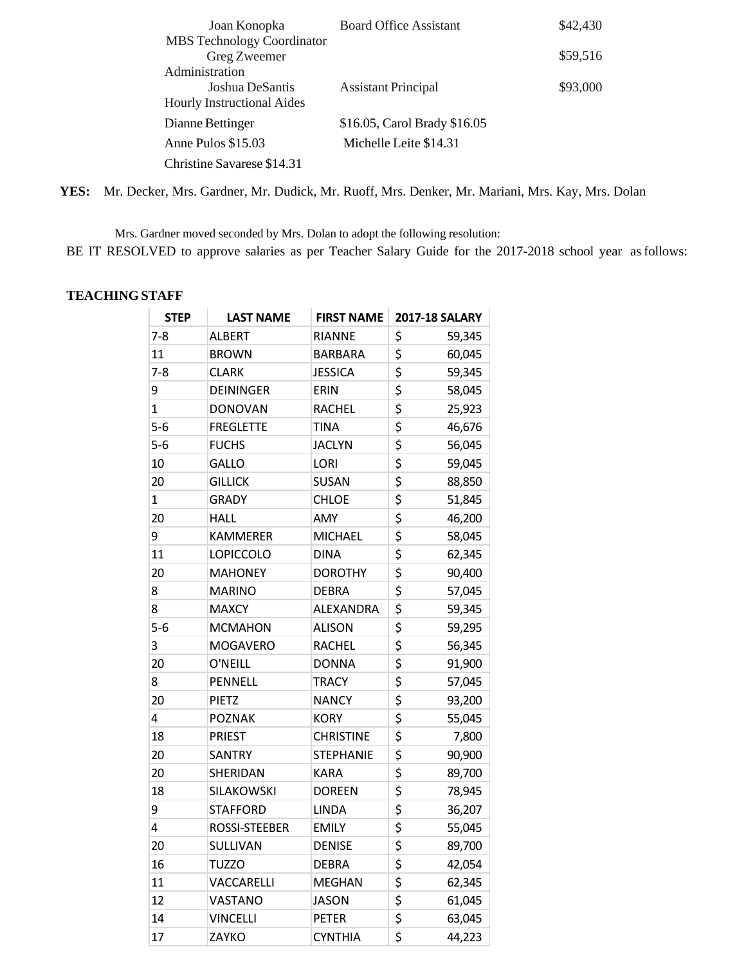| Joan Konopka                                      | <b>Board Office Assistant</b> | \$42,430 |
|---------------------------------------------------|-------------------------------|----------|
| <b>MBS</b> Technology Coordinator<br>Greg Zweemer |                               | \$59,516 |
| Administration                                    |                               |          |
| Joshua DeSantis                                   | <b>Assistant Principal</b>    | \$93,000 |
| <b>Hourly Instructional Aides</b>                 |                               |          |
| Dianne Bettinger                                  | \$16.05, Carol Brady \$16.05  |          |
| Anne Pulos \$15.03                                | Michelle Leite \$14.31        |          |
| Christine Savarese \$14.31                        |                               |          |

**YES:** Mr. Decker, Mrs. Gardner, Mr. Dudick, Mr. Ruoff, Mrs. Denker, Mr. Mariani, Mrs. Kay, Mrs. Dolan

Mrs. Gardner moved seconded by Mrs. Dolan to adopt the following resolution: BE IT RESOLVED to approve salaries as per Teacher Salary Guide for the 2017-2018 school year as follows:

## **TEACHING STAFF**

| <b>STEP</b> | <b>LAST NAME</b>  | <b>FIRST NAME</b> | <b>2017-18 SALARY</b> |
|-------------|-------------------|-------------------|-----------------------|
| $7-8$       | <b>ALBERT</b>     | <b>RIANNE</b>     | \$<br>59,345          |
| 11          | <b>BROWN</b>      | <b>BARBARA</b>    | \$<br>60,045          |
| $7 - 8$     | <b>CLARK</b>      | <b>JESSICA</b>    | \$<br>59,345          |
| 9           | <b>DEININGER</b>  | ERIN              | \$<br>58,045          |
| 1           | <b>DONOVAN</b>    | <b>RACHEL</b>     | \$<br>25,923          |
| $5-6$       | <b>FREGLETTE</b>  | TINA              | \$<br>46,676          |
| $5-6$       | <b>FUCHS</b>      | <b>JACLYN</b>     | \$<br>56,045          |
| 10          | <b>GALLO</b>      | <b>LORI</b>       | \$<br>59,045          |
| 20          | <b>GILLICK</b>    | <b>SUSAN</b>      | \$<br>88,850          |
| 1           | <b>GRADY</b>      | <b>CHLOE</b>      | \$<br>51,845          |
| 20          | <b>HALL</b>       | AMY               | \$<br>46,200          |
| 9           | <b>KAMMERER</b>   | <b>MICHAEL</b>    | \$<br>58,045          |
| 11          | <b>LOPICCOLO</b>  | <b>DINA</b>       | \$<br>62,345          |
| 20          | <b>MAHONEY</b>    | <b>DOROTHY</b>    | \$<br>90,400          |
| 8           | <b>MARINO</b>     | <b>DEBRA</b>      | \$<br>57,045          |
| 8           | <b>MAXCY</b>      | ALEXANDRA         | \$<br>59,345          |
| $5-6$       | <b>MCMAHON</b>    | <b>ALISON</b>     | \$<br>59,295          |
| 3           | <b>MOGAVERO</b>   | <b>RACHEL</b>     | \$<br>56,345          |
| 20          | O'NEILL           | <b>DONNA</b>      | \$<br>91,900          |
| 8           | <b>PENNELL</b>    | <b>TRACY</b>      | \$<br>57,045          |
| 20          | <b>PIETZ</b>      | <b>NANCY</b>      | \$<br>93,200          |
| 4           | <b>POZNAK</b>     | <b>KORY</b>       | \$<br>55,045          |
| 18          | <b>PRIEST</b>     | <b>CHRISTINE</b>  | \$<br>7,800           |
| 20          | SANTRY            | <b>STEPHANIE</b>  | \$<br>90,900          |
| 20          | SHERIDAN          | <b>KARA</b>       | \$<br>89,700          |
| 18          | <b>SILAKOWSKI</b> | <b>DOREEN</b>     | \$<br>78,945          |
| 9           | STAFFORD          | LINDA             | \$<br>36,207          |
| 4           | ROSSI-STEEBER     | <b>EMILY</b>      | \$<br>55,045          |
| 20          | SULLIVAN          | <b>DENISE</b>     | \$<br>89,700          |
| 16          | <b>TUZZO</b>      | <b>DEBRA</b>      | \$<br>42,054          |
| 11          | VACCARELLI        | <b>MEGHAN</b>     | \$<br>62,345          |
| 12          | VASTANO           | <b>JASON</b>      | \$<br>61,045          |
| 14          | <b>VINCELLI</b>   | <b>PETER</b>      | \$<br>63,045          |
| 17          | ZAYKO             | <b>CYNTHIA</b>    | \$<br>44,223          |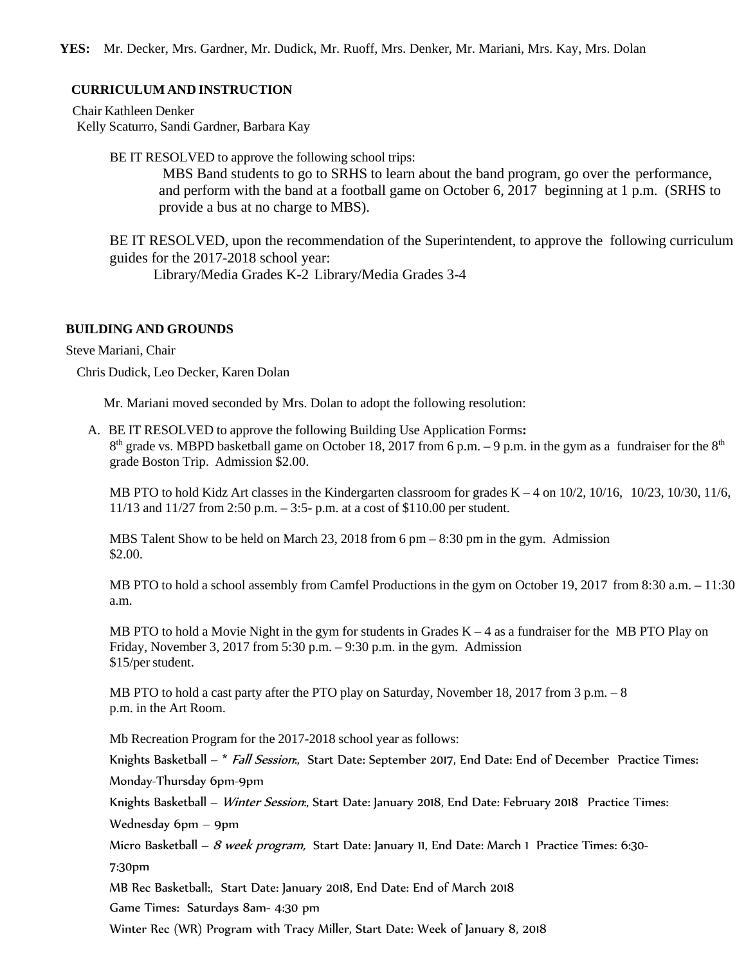## **CURRICULUM AND INSTRUCTION**

Chair Kathleen Denker Kelly Scaturro, Sandi Gardner, Barbara Kay

BE IT RESOLVED to approve the following school trips:

MBS Band students to go to SRHS to learn about the band program, go over the performance, and perform with the band at a football game on October 6, 2017 beginning at 1 p.m. (SRHS to provide a bus at no charge to MBS).

BE IT RESOLVED, upon the recommendation of the Superintendent, to approve the following curriculum guides for the 2017-2018 school year:

Library/Media Grades K-2 Library/Media Grades 3-4

## **BUILDING AND GROUNDS**

Steve Mariani, Chair

Chris Dudick, Leo Decker, Karen Dolan

Mr. Mariani moved seconded by Mrs. Dolan to adopt the following resolution:

A. BE IT RESOLVED to approve the following Building Use Application Forms**:**  $8<sup>th</sup>$  grade vs. MBPD basketball game on October 18, 2017 from 6 p.m. – 9 p.m. in the gym as a fundraiser for the  $8<sup>th</sup>$ grade Boston Trip. Admission \$2.00.

MB PTO to hold Kidz Art classes in the Kindergarten classroom for grades K – 4 on 10/2, 10/16, 10/23, 10/30, 11/6, 11/13 and 11/27 from 2:50 p.m. – 3:5- p.m. at a cost of \$110.00 per student.

MBS Talent Show to be held on March 23, 2018 from 6 pm – 8:30 pm in the gym. Admission \$2.00.

MB PTO to hold a school assembly from Camfel Productions in the gym on October 19, 2017 from 8:30 a.m. – 11:30 a.m.

MB PTO to hold a Movie Night in the gym for students in Grades  $K - 4$  as a fundraiser for the MB PTO Play on Friday, November 3, 2017 from 5:30 p.m.  $-9:30$  p.m. in the gym. Admission \$15/per student.

MB PTO to hold a cast party after the PTO play on Saturday, November 18, 2017 from 3 p.m. – 8 p.m. in the Art Room.

Mb Recreation Program for the 2017-2018 school year as follows:

Knights Basketball – \* Fall Session., Start Date: September 2017, End Date: End of December Practice Times: Monday-Thursday 6pm-9pm

Knights Basketball – Winter Session., Start Date: January 2018, End Date: February 2018 Practice Times:

Wednesday 6pm – 9pm

Micro Basketball – 8 week program, Start Date: January 11, End Date: March 1 Practice Times: 6:30-

7:30pm

MB Rec Basketball:, Start Date: January 2018, End Date: End of March 2018

Game Times: Saturdays 8am- 4:30 pm

Winter Rec (WR) Program with Tracy Miller, Start Date: Week of January 8, 2018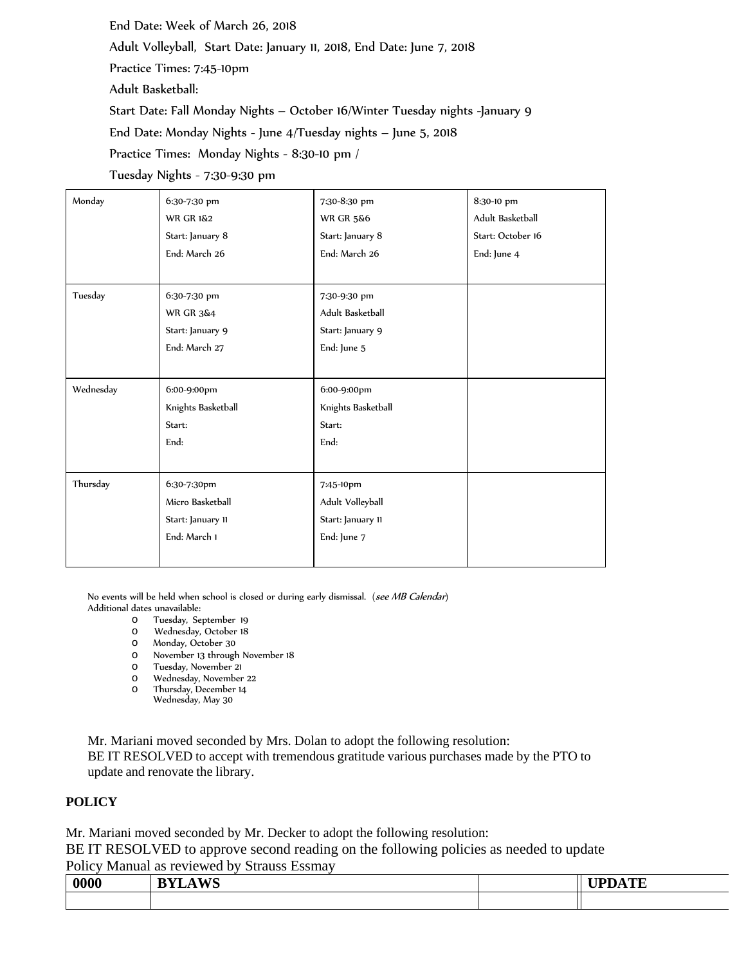End Date: Week of March 26, 2018

Adult Volleyball, Start Date: January 11, 2018, End Date: June 7, 2018

Practice Times: 7:45-10pm

Adult Basketball:

Start Date: Fall Monday Nights – October 16/Winter Tuesday nights -January 9

End Date: Monday Nights - June 4/Tuesday nights – June 5, 2018

Practice Times: Monday Nights - 8:30-10 pm /

Tuesday Nights - 7:30-9:30 pm

| Monday    | 6:30-7:30 pm         | 7:30-8:30 pm         | 8:30-10 pm        |
|-----------|----------------------|----------------------|-------------------|
|           | <b>WR GR 1&amp;2</b> | <b>WR GR 5&amp;6</b> | Adult Basketball  |
|           | Start: January 8     | Start: January 8     | Start: October 16 |
|           | End: March 26        | End: March 26        | End: June 4       |
|           |                      |                      |                   |
| Tuesday   | 6:30-7:30 pm         | 7:30-9:30 pm         |                   |
|           | <b>WR GR 3&amp;4</b> | Adult Basketball     |                   |
|           | Start: January 9     | Start: January 9     |                   |
|           | End: March 27        | End: June 5          |                   |
|           |                      |                      |                   |
| Wednesday | 6:00-9:00pm          | 6:00-9:00pm          |                   |
|           | Knights Basketball   | Knights Basketball   |                   |
|           | Start:               | Start:               |                   |
|           | End:                 | End:                 |                   |
|           |                      |                      |                   |
| Thursday  | 6:30-7:30pm          | 7:45-10pm            |                   |
|           | Micro Basketball     | Adult Volleyball     |                   |
|           | Start: January II    | Start: January 11    |                   |
|           | End: March 1         | End: June 7          |                   |
|           |                      |                      |                   |

No events will be held when school is closed or during early dismissal. (see MB Calendar) Additional dates unavailable:

- o Tuesday, September 19
- o Wednesday, October 18
- o Monday, October 30
- o November 13 through November 18
- o Tuesday, November 21
- 
- o Thursday, December 14 Wednesday, May 30

Mr. Mariani moved seconded by Mrs. Dolan to adopt the following resolution: BE IT RESOLVED to accept with tremendous gratitude various purchases made by the PTO to update and renovate the library.

# **POLICY**

Mr. Mariani moved seconded by Mr. Decker to adopt the following resolution: BE IT RESOLVED to approve second reading on the following policies as needed to update

Policy Manual as reviewed by Strauss Essmay

| 0000 | WC<br>$\mathbf{r}$<br><u>, v</u><br>----- | . mp<br>$\sqrt{ }$<br>. |
|------|-------------------------------------------|-------------------------|
|      |                                           |                         |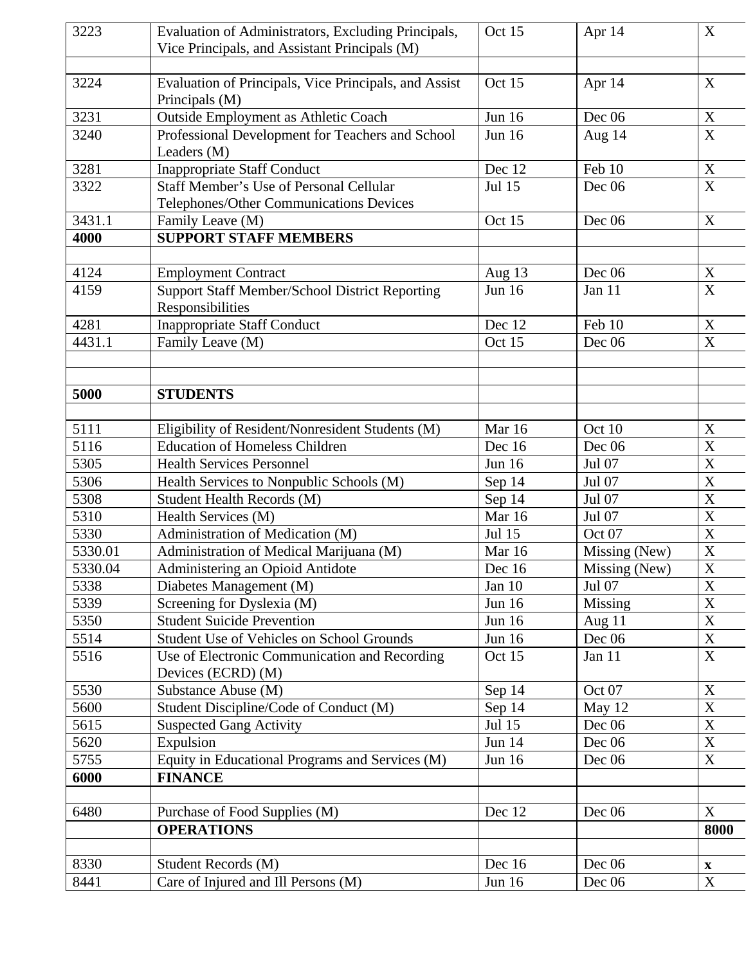| 3223    | Evaluation of Administrators, Excluding Principals,           | Oct 15           | Apr 14        | $\mathbf X$               |
|---------|---------------------------------------------------------------|------------------|---------------|---------------------------|
|         | Vice Principals, and Assistant Principals (M)                 |                  |               |                           |
|         |                                                               |                  |               |                           |
| 3224    | Evaluation of Principals, Vice Principals, and Assist         | Oct 15           | Apr 14        | X                         |
|         | Principals (M)                                                |                  |               |                           |
| 3231    | <b>Outside Employment as Athletic Coach</b>                   | Jun 16           | Dec 06        | $\mathbf X$               |
| 3240    | Professional Development for Teachers and School              | <b>Jun 16</b>    | Aug 14        | $\boldsymbol{\mathrm{X}}$ |
|         | Leaders (M)                                                   |                  |               |                           |
| 3281    | <b>Inappropriate Staff Conduct</b>                            | Dec 12           | Feb 10        | $\mathbf X$               |
| 3322    | <b>Staff Member's Use of Personal Cellular</b>                | <b>Jul 15</b>    | Dec 06        | $\mathbf X$               |
| 3431.1  | Telephones/Other Communications Devices                       |                  |               | X                         |
| 4000    | Family Leave (M)                                              | Oct 15           | Dec 06        |                           |
|         | <b>SUPPORT STAFF MEMBERS</b>                                  |                  |               |                           |
| 4124    | <b>Employment Contract</b>                                    | Aug $13$         | Dec 06        | $\mathbf X$               |
| 4159    | <b>Support Staff Member/School District Reporting</b>         | <b>Jun 16</b>    | Jan 11        | $\boldsymbol{X}$          |
|         | Responsibilities                                              |                  |               |                           |
| 4281    | <b>Inappropriate Staff Conduct</b>                            | Dec 12           | Feb 10        | X                         |
| 4431.1  | Family Leave (M)                                              | Oct 15           | Dec 06        | $\boldsymbol{\mathrm{X}}$ |
|         |                                                               |                  |               |                           |
|         |                                                               |                  |               |                           |
| 5000    | <b>STUDENTS</b>                                               |                  |               |                           |
|         |                                                               |                  |               |                           |
| 5111    | Eligibility of Resident/Nonresident Students (M)              | Mar 16           | Oct 10        | X                         |
| 5116    | <b>Education of Homeless Children</b>                         | Dec 16           | Dec 06        | $\mathbf X$               |
| 5305    | <b>Health Services Personnel</b>                              | Jun 16           | Jul 07        | X                         |
| 5306    | Health Services to Nonpublic Schools (M)                      | Sep 14           | Jul 07        | $\overline{\text{X}}$     |
| 5308    | <b>Student Health Records (M)</b>                             | Sep 14           | Jul 07        | $\mathbf X$               |
| 5310    | Health Services (M)                                           | Mar 16           | Jul 07        | X                         |
| 5330    | Administration of Medication (M)                              | Jul 15           | Oct 07        | $\overline{X}$            |
| 5330.01 | Administration of Medical Marijuana (M)                       | Mar 16           | Missing (New) | X                         |
| 5330.04 | Administering an Opioid Antidote                              | Dec 16           | Missing (New) | $\overline{\text{X}}$     |
| 5338    | Diabetes Management (M)                                       | Jan $10$         | Jul 07        | X                         |
| 5339    | Screening for Dyslexia (M)                                    | Jun 16           | Missing       | $\mathbf X$               |
| 5350    | <b>Student Suicide Prevention</b>                             | <b>Jun 16</b>    | Aug $11$      | X                         |
| 5514    | <b>Student Use of Vehicles on School Grounds</b>              | Jun 16           | Dec 06        | $\mathbf X$               |
| 5516    | Use of Electronic Communication and Recording                 | Oct 15           | Jan 11        | $\boldsymbol{\mathrm{X}}$ |
| 5530    | Devices (ECRD) (M)                                            |                  | Oct 07        | $\mathbf X$               |
| 5600    | Substance Abuse (M)<br>Student Discipline/Code of Conduct (M) | Sep 14<br>Sep 14 | May 12        | $\boldsymbol{\mathrm{X}}$ |
| 5615    | <b>Suspected Gang Activity</b>                                | Jul 15           | Dec 06        | $\mathbf X$               |
| 5620    | Expulsion                                                     | <b>Jun 14</b>    | Dec 06        | $\mathbf X$               |
| 5755    | Equity in Educational Programs and Services (M)               | <b>Jun 16</b>    | Dec 06        | $\mathbf X$               |
| 6000    | <b>FINANCE</b>                                                |                  |               |                           |
|         |                                                               |                  |               |                           |
| 6480    | Purchase of Food Supplies (M)                                 | Dec 12           | Dec 06        | X                         |
|         | <b>OPERATIONS</b>                                             |                  |               | 8000                      |
|         |                                                               |                  |               |                           |
| 8330    | Student Records (M)                                           | Dec 16           | Dec $06$      | $\mathbf X$               |
| 8441    | Care of Injured and Ill Persons (M)                           | Jun 16           | Dec 06        | $\boldsymbol{\mathrm{X}}$ |